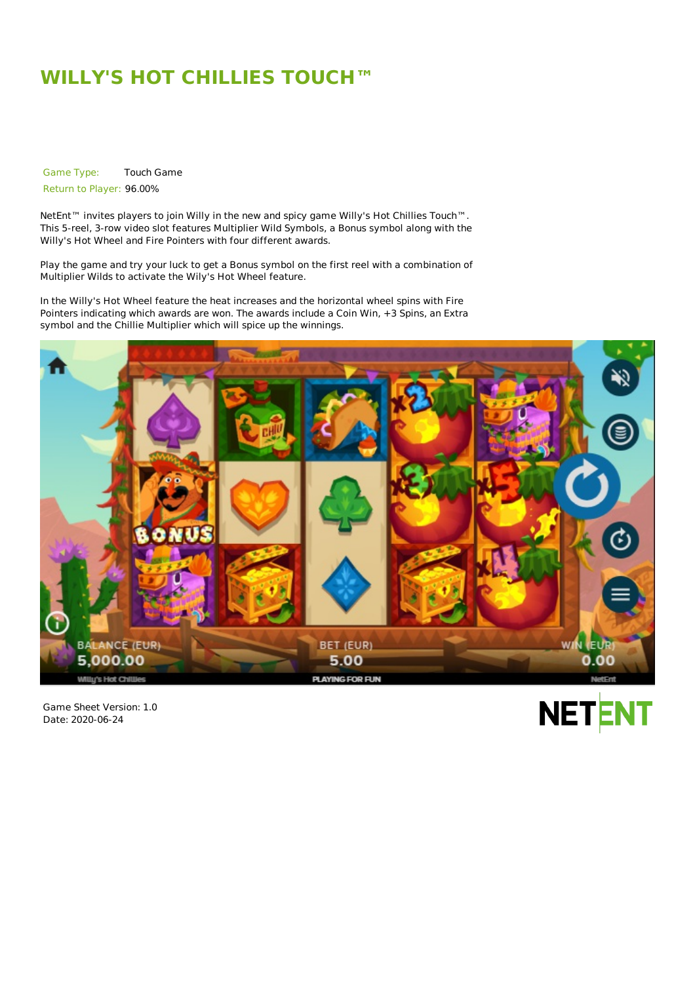## **WILLY'S HOT CHILLIES TOUCH™**

Game Type: Touch Game

Return to Player: 96.00%

NetEnt<sup>™</sup> invites players to join Willy in the new and spicy game Willy's Hot Chillies Touch™. This 5-reel, 3-row video slot features Multiplier Wild Symbols, a Bonus symbol along with the Willy's Hot Wheel and Fire Pointers with four different awards.

Play the game and try your luck to get a Bonus symbol on the first reel with a combination of Multiplier Wilds to activate the Wily's Hot Wheel feature.

In the Willy's Hot Wheel feature the heat increases and the horizontal wheel spins with Fire Pointers indicating which awards are won. The awards include a Coin Win, +3 Spins, an Extra symbol and the Chillie Multiplier which will spice up the winnings.



Game Sheet Version: 1.0 Date: 2020-06-24

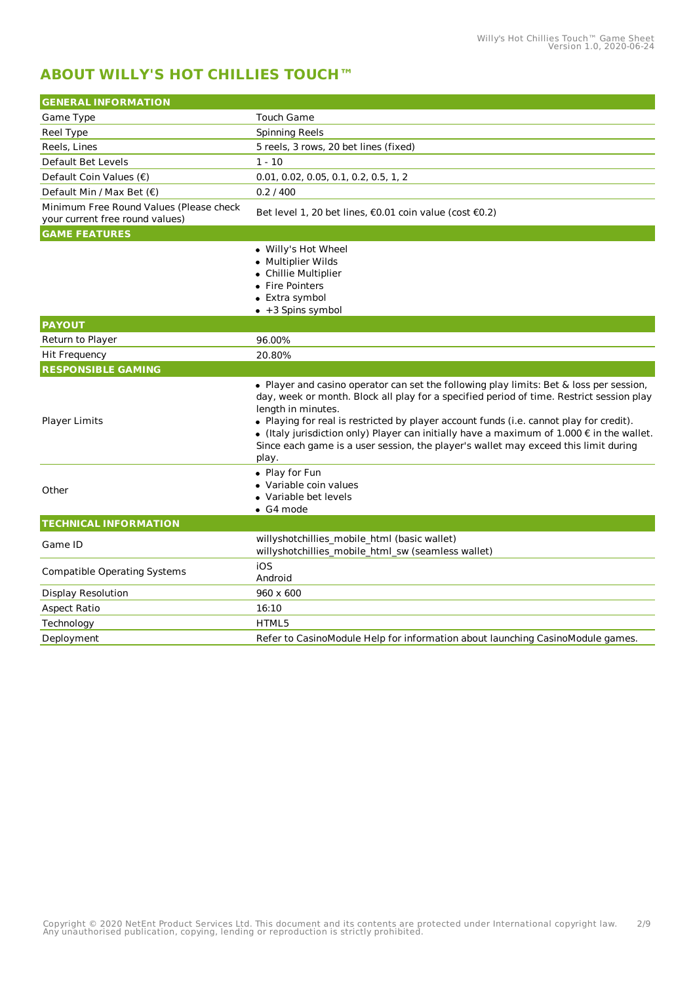## **ABOUT WILLY'S HOT CHILLIES TOUCH™**

| <b>GENERAL INFORMATION</b>                                                 |                                                                                                                                                                                                                                                                                                                                                                                                                                                                                                                    |  |
|----------------------------------------------------------------------------|--------------------------------------------------------------------------------------------------------------------------------------------------------------------------------------------------------------------------------------------------------------------------------------------------------------------------------------------------------------------------------------------------------------------------------------------------------------------------------------------------------------------|--|
| Game Type                                                                  | Touch Game                                                                                                                                                                                                                                                                                                                                                                                                                                                                                                         |  |
| Reel Type                                                                  | <b>Spinning Reels</b>                                                                                                                                                                                                                                                                                                                                                                                                                                                                                              |  |
| Reels, Lines                                                               | 5 reels, 3 rows, 20 bet lines (fixed)                                                                                                                                                                                                                                                                                                                                                                                                                                                                              |  |
| Default Bet Levels                                                         | $1 - 10$                                                                                                                                                                                                                                                                                                                                                                                                                                                                                                           |  |
| Default Coin Values (€)                                                    | 0.01, 0.02, 0.05, 0.1, 0.2, 0.5, 1, 2                                                                                                                                                                                                                                                                                                                                                                                                                                                                              |  |
| Default Min / Max Bet $(\epsilon)$                                         | 0.2 / 400                                                                                                                                                                                                                                                                                                                                                                                                                                                                                                          |  |
| Minimum Free Round Values (Please check<br>your current free round values) | Bet level 1, 20 bet lines, €0.01 coin value (cost €0.2)                                                                                                                                                                                                                                                                                                                                                                                                                                                            |  |
| <b>GAME FEATURES</b>                                                       |                                                                                                                                                                                                                                                                                                                                                                                                                                                                                                                    |  |
|                                                                            | • Willy's Hot Wheel<br>· Multiplier Wilds<br>• Chillie Multiplier<br>• Fire Pointers<br>• Extra symbol<br>• +3 Spins symbol                                                                                                                                                                                                                                                                                                                                                                                        |  |
| <b>PAYOUT</b>                                                              |                                                                                                                                                                                                                                                                                                                                                                                                                                                                                                                    |  |
| Return to Player                                                           | 96.00%                                                                                                                                                                                                                                                                                                                                                                                                                                                                                                             |  |
| <b>Hit Frequency</b>                                                       | 20.80%                                                                                                                                                                                                                                                                                                                                                                                                                                                                                                             |  |
| <b>RESPONSIBLE GAMING</b>                                                  |                                                                                                                                                                                                                                                                                                                                                                                                                                                                                                                    |  |
| <b>Player Limits</b>                                                       | • Player and casino operator can set the following play limits: Bet & loss per session,<br>day, week or month. Block all play for a specified period of time. Restrict session play<br>length in minutes.<br>• Playing for real is restricted by player account funds (i.e. cannot play for credit).<br>$\bullet$ (Italy jurisdiction only) Player can initially have a maximum of 1.000 $\epsilon$ in the wallet.<br>Since each game is a user session, the player's wallet may exceed this limit during<br>play. |  |
| Other                                                                      | • Play for Fun<br>• Variable coin values<br>• Variable bet levels<br>$\bullet$ G4 mode                                                                                                                                                                                                                                                                                                                                                                                                                             |  |
| <b>TECHNICAL INFORMATION</b>                                               |                                                                                                                                                                                                                                                                                                                                                                                                                                                                                                                    |  |
| Game ID                                                                    | willyshotchillies_mobile_html (basic wallet)<br>willyshotchillies mobile html sw (seamless wallet)                                                                                                                                                                                                                                                                                                                                                                                                                 |  |
| <b>Compatible Operating Systems</b>                                        | iOS<br>Android                                                                                                                                                                                                                                                                                                                                                                                                                                                                                                     |  |
| <b>Display Resolution</b>                                                  | 960 x 600                                                                                                                                                                                                                                                                                                                                                                                                                                                                                                          |  |
| <b>Aspect Ratio</b>                                                        | 16:10                                                                                                                                                                                                                                                                                                                                                                                                                                                                                                              |  |
| Technology                                                                 | HTML5                                                                                                                                                                                                                                                                                                                                                                                                                                                                                                              |  |
| Deployment                                                                 | Refer to CasinoModule Help for information about launching CasinoModule games.                                                                                                                                                                                                                                                                                                                                                                                                                                     |  |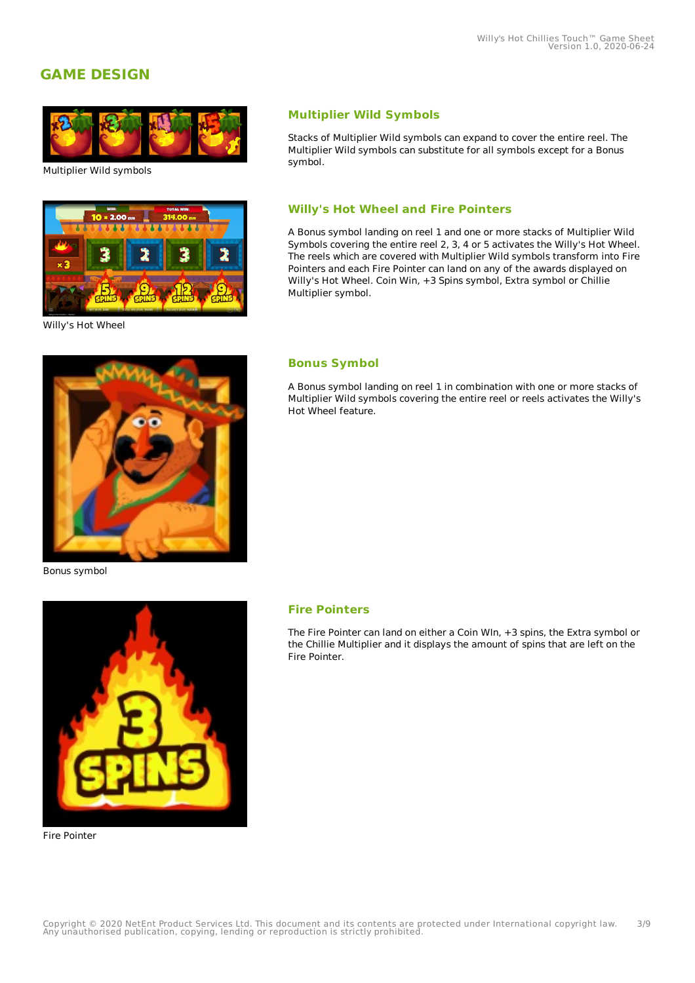## **GAME DESIGN**



Multiplier Wild symbols



Willy's Hot Wheel

#### **Multiplier Wild Symbols**

Stacks of Multiplier Wild symbols can expand to cover the entire reel. The Multiplier Wild symbols can substitute for all symbols except for a Bonus symbol.

#### **Willy's Hot Wheel and Fire Pointers**

A Bonus symbol landing on reel 1 and one or more stacks of Multiplier Wild Symbols covering the entire reel 2, 3, 4 or 5 activates the Willy's Hot Wheel. The reels which are covered with Multiplier Wild symbols transform into Fire Pointers and each Fire Pointer can land on any of the awards displayed on Willy's Hot Wheel. Coin Win, +3 Spins symbol, Extra symbol or Chillie Multiplier symbol.

#### **Bonus Symbol**

A Bonus symbol landing on reel 1 in combination with one or more stacks of Multiplier Wild symbols covering the entire reel or reels activates the Willy's Hot Wheel feature.

Bonus symbol



Fire Pointer

#### **Fire Pointers**

The Fire Pointer can land on either a Coin WIn, +3 spins, the Extra symbol or the Chillie Multiplier and it displays the amount of spins that are left on the Fire Pointer.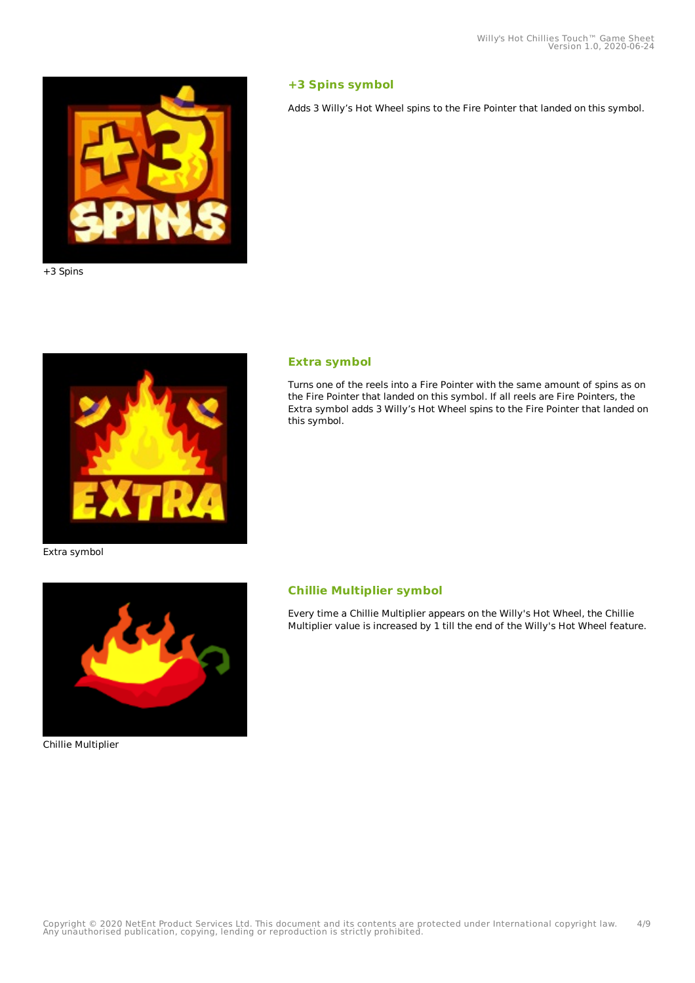

+3 Spins



#### **+3 Spins symbol**

Adds 3 Willy's Hot Wheel spins to the Fire Pointer that landed on this symbol.

#### **Extra symbol**

Turns one of the reels into a Fire Pointer with the same amount of spins as on the Fire Pointer that landed on this symbol. If all reels are Fire Pointers, the Extra symbol adds 3 Willy's Hot Wheel spins to the Fire Pointer that landed on this symbol.

Extra symbol



Chillie Multiplier

#### **Chillie Multiplier symbol**

Every time a Chillie Multiplier appears on the Willy's Hot Wheel, the Chillie Multiplier value is increased by 1 till the end of the Willy's Hot Wheel feature.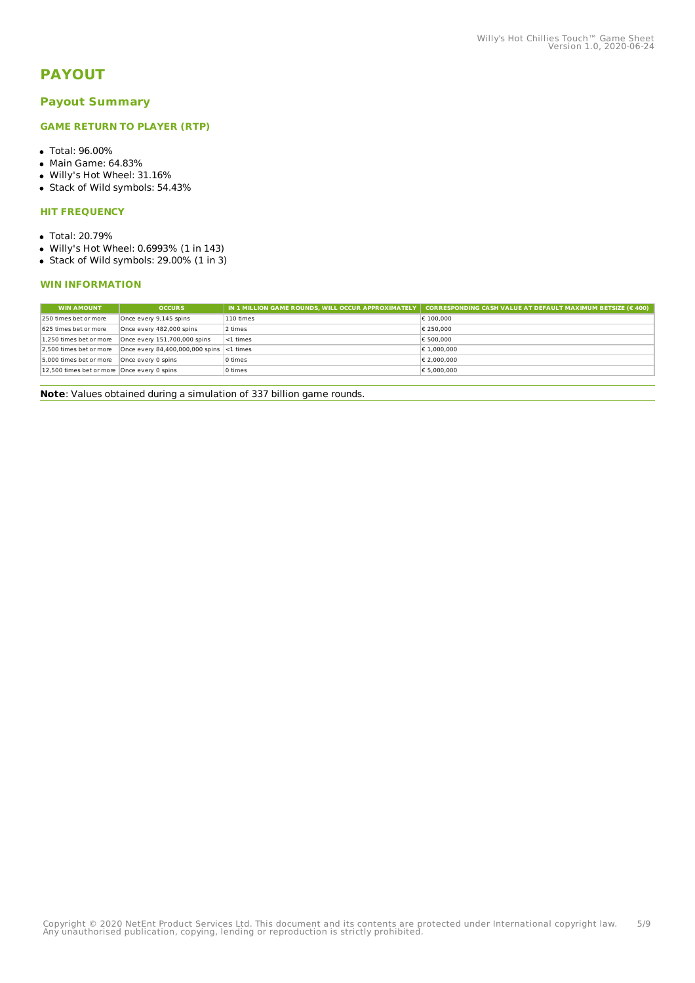## **PAYOUT**

#### **Payout Summary**

#### **GAME RETURN TO PLAYER (RTP)**

- Total: 96.00%
- Main Game: 64.83%
- Willy's Hot Wheel: 31.16%
- Stack of Wild symbols: 54.43%

#### **HIT FREQUENCY**

- Total: 20.79%
- Willy's Hot Wheel: 0.6993% (1 in 143)
- Stack of Wild symbols: 29.00% (1 in 3)

#### **WIN INFORMATION**

| <b>OCCURS</b>                               |           | IN 1 MILLION GAME ROUNDS, WILL OCCUR APPROXIMATELY   CORRESPONDING CASH VALUE AT DEFAULT MAXIMUM BETSIZE (€ 400) |
|---------------------------------------------|-----------|------------------------------------------------------------------------------------------------------------------|
| Once every 9,145 spins                      | 110 times | € 100,000                                                                                                        |
| Once every 482,000 spins                    | 2 times   | € 250,000                                                                                                        |
| Once every 151,700,000 spins                | <1 times  | € 500,000                                                                                                        |
|                                             |           | € 1.000.000                                                                                                      |
| Once every 0 spins                          | 0 times   | € 2.000.000                                                                                                      |
| 12.500 times bet or more Once every 0 spins | 0 times   | € 5.000.000                                                                                                      |
|                                             |           | Once every 84,400,000,000 spins <1 times                                                                         |

**Note**: Values obtained during a simulation of 337 billion game rounds.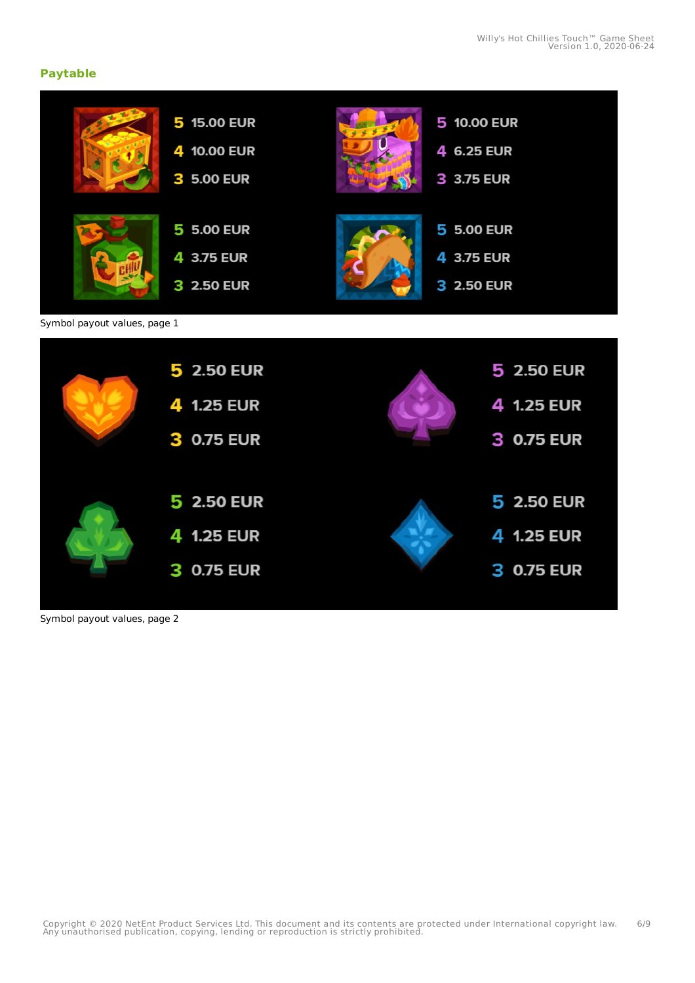### **Paytable**



Symbol payout values, page 2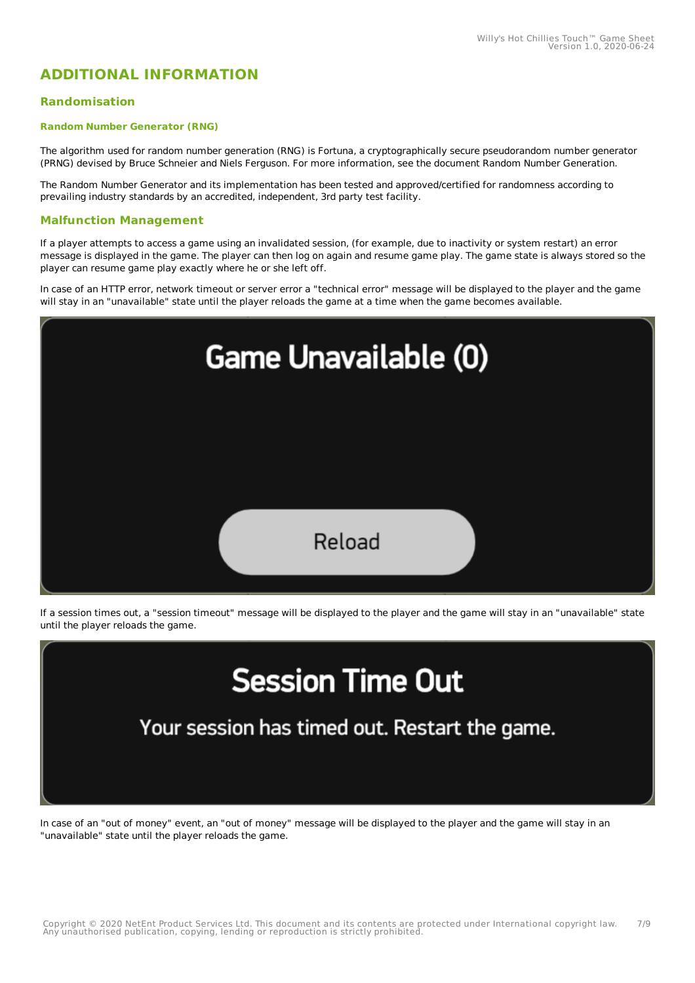## **ADDITIONAL INFORMATION**

#### **Randomisation**

#### **Random Number Generator (RNG)**

The algorithm used for random number generation (RNG) is Fortuna, a cryptographically secure pseudorandom number generator (PRNG) devised by Bruce Schneier and Niels Ferguson. For more information, see the document Random Number Generation.

The Random Number Generator and its implementation has been tested and approved/certified for randomness according to prevailing industry standards by an accredited, independent, 3rd party test facility.

#### **Malfunction Management**

If a player attempts to access a game using an invalidated session, (for example, due to inactivity or system restart) an error message is displayed in the game. The player can then log on again and resume game play. The game state is always stored so the player can resume game play exactly where he or she left off.

In case of an HTTP error, network timeout or server error a "technical error" message will be displayed to the player and the game will stay in an "unavailable" state until the player reloads the game at a time when the game becomes available.



If a session times out, a "session timeout" message will be displayed to the player and the game will stay in an "unavailable" state until the player reloads the game.

# **Session Time Out**

Your session has timed out. Restart the game.

In case of an "out of money" event, an "out of money" message will be displayed to the player and the game will stay in an "unavailable" state until the player reloads the game.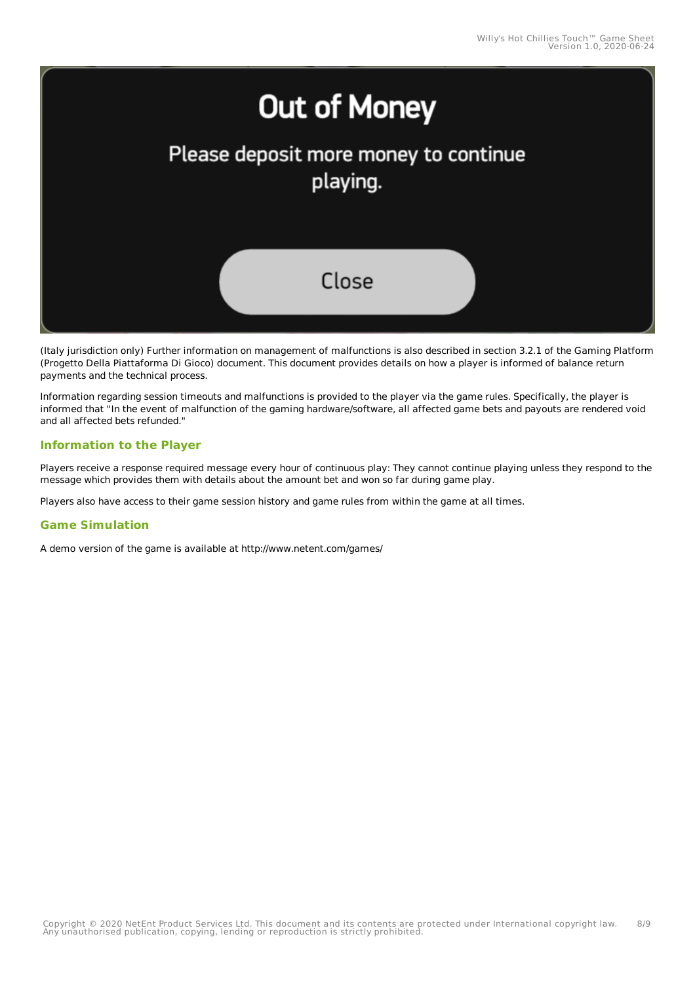

(Italy jurisdiction only) Further information on management of malfunctions is also described in section 3.2.1 of the Gaming Platform (Progetto Della Piattaforma Di Gioco) document. This document provides details on how a player is informed of balance return payments and the technical process.

Information regarding session timeouts and malfunctions is provided to the player via the game rules. Specifically, the player is informed that "In the event of malfunction of the gaming hardware/software, all affected game bets and payouts are rendered void and all affected bets refunded."

#### **Information to the Player**

Players receive a response required message every hour of continuous play: They cannot continue playing unless they respond to the message which provides them with details about the amount bet and won so far during game play.

Players also have access to their game session history and game rules from within the game at all times.

#### **Game Simulation**

A demo version of the game is available at http://www.netent.com/games/